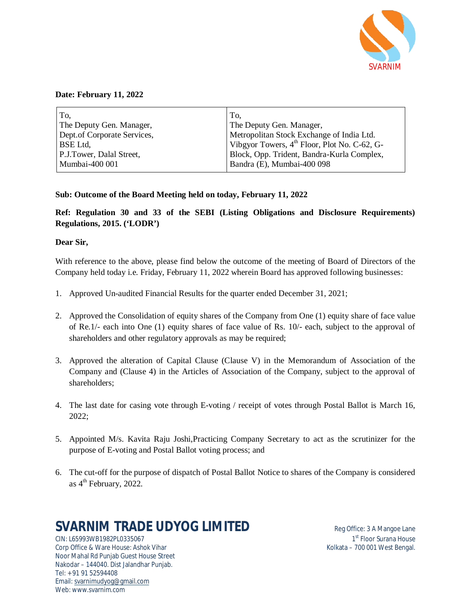

### **Date: February 11, 2022**

| To.                         | To,                                                      |
|-----------------------------|----------------------------------------------------------|
| The Deputy Gen. Manager,    | The Deputy Gen. Manager,                                 |
| Dept.of Corporate Services, | Metropolitan Stock Exchange of India Ltd.                |
| BSE Ltd,                    | Vibgyor Towers, 4 <sup>th</sup> Floor, Plot No. C-62, G- |
| P.J.Tower, Dalal Street,    | Block, Opp. Trident, Bandra-Kurla Complex,               |
| Mumbai-400 001              | Bandra (E), Mumbai-400 098                               |

### **Sub: Outcome of the Board Meeting held on today, February 11, 2022**

**Ref: Regulation 30 and 33 of the SEBI (Listing Obligations and Disclosure Requirements) Regulations, 2015. ('LODR')** 

### **Dear Sir,**

With reference to the above, please find below the outcome of the meeting of Board of Directors of the Company held today i.e. Friday, February 11, 2022 wherein Board has approved following businesses:

- 1. Approved Un-audited Financial Results for the quarter ended December 31, 2021;
- 2. Approved the Consolidation of equity shares of the Company from One (1) equity share of face value of Re.1/- each into One (1) equity shares of face value of Rs. 10/- each, subject to the approval of shareholders and other regulatory approvals as may be required;
- 3. Approved the alteration of Capital Clause (Clause V) in the Memorandum of Association of the Company and (Clause 4) in the Articles of Association of the Company, subject to the approval of shareholders;
- 4. The last date for casing vote through E-voting / receipt of votes through Postal Ballot is March 16, 2022;
- 5. Appointed M/s. Kavita Raju Joshi,Practicing Company Secretary to act as the scrutinizer for the purpose of E-voting and Postal Ballot voting process; and
- 6. The cut-off for the purpose of dispatch of Postal Ballot Notice to shares of the Company is considered as 4<sup>th</sup> February, 2022.

# **SVARNIM TRADE UDYOG LIMITED** Req Office: 3 A Mangoe Lane

CIN: L65993WB1982PL0335067 1 Corp Office & Ware House: Ashok Vihar Noor Mahal Rd Punjab Guest House Street Nakodar – 144040. Dist Jalandhar Punjab. Tel: + 91 91 52594408 Email: svarnimudyog@gmail.com Web: www.svarnim.com

1<sup>st</sup> Floor Surana House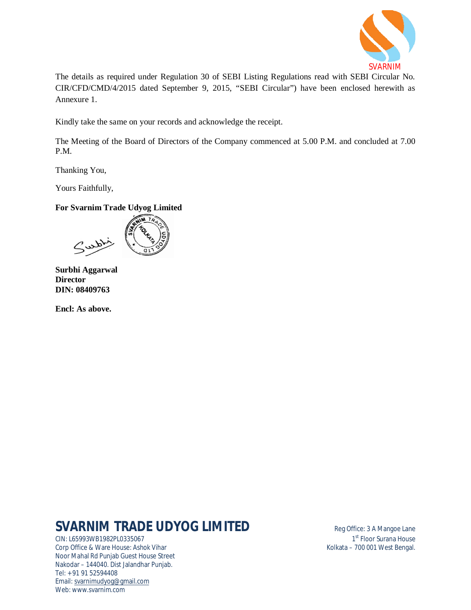

The details as required under Regulation 30 of SEBI Listing Regulations read with SEBI Circular No. CIR/CFD/CMD/4/2015 dated September 9, 2015, "SEBI Circular") have been enclosed herewith as Annexure 1.

Kindly take the same on your records and acknowledge the receipt.

The Meeting of the Board of Directors of the Company commenced at 5.00 P.M. and concluded at 7.00 P.M.

Thanking You,

Yours Faithfully,

## **For Svarnim Trade Udyog Limited**

**Surbhi Aggarwal Director DIN: 08409763**

**Encl: As above.**

# **SVARNIM TRADE UDYOG LIMITED** Reg Office: 3 A Mangoe Lane

CIN: L65993WB1982PL0335067 1 Corp Office & Ware House: Ashok Vihar Noor Mahal Rd Punjab Guest House Street Nakodar – 144040. Dist Jalandhar Punjab. Tel: + 91 91 52594408 Email: svarnimudyog@gmail.com Web: www.svarnim.com

1<sup>st</sup> Floor Surana House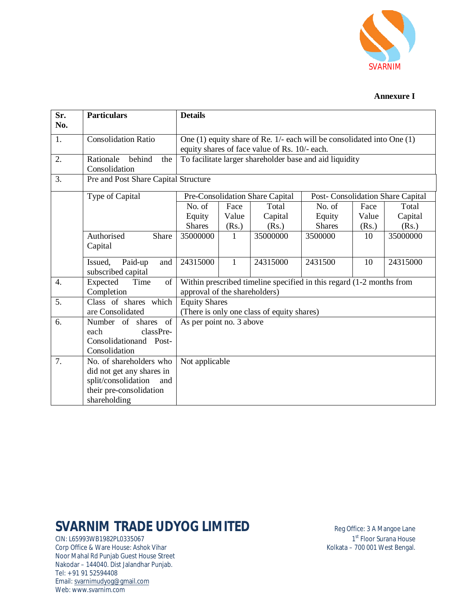

### **Annexure I**

| Sr.<br>No. | <b>Particulars</b>                                                                                                            | <b>Details</b>                                                                                                              |              |                                 |                                                         |       |                                   |  |  |
|------------|-------------------------------------------------------------------------------------------------------------------------------|-----------------------------------------------------------------------------------------------------------------------------|--------------|---------------------------------|---------------------------------------------------------|-------|-----------------------------------|--|--|
| 1.         | <b>Consolidation Ratio</b>                                                                                                    | One $(1)$ equity share of Re. 1/- each will be consolidated into One $(1)$<br>equity shares of face value of Rs. 10/- each. |              |                                 |                                                         |       |                                   |  |  |
| 2.         | Rationale<br>behind<br>the<br>Consolidation                                                                                   |                                                                                                                             |              |                                 | To facilitate larger shareholder base and aid liquidity |       |                                   |  |  |
| 3.         | Pre and Post Share Capital Structure                                                                                          |                                                                                                                             |              |                                 |                                                         |       |                                   |  |  |
|            | Type of Capital                                                                                                               |                                                                                                                             |              | Pre-Consolidation Share Capital |                                                         |       | Post- Consolidation Share Capital |  |  |
|            |                                                                                                                               | No. of                                                                                                                      | Face         | Total                           | No. of                                                  | Face  | Total                             |  |  |
|            |                                                                                                                               | Equity                                                                                                                      | Value        | Capital                         | Equity                                                  | Value | Capital                           |  |  |
|            |                                                                                                                               | <b>Shares</b>                                                                                                               | (Rs.)        | (Rs.)                           | <b>Shares</b>                                           | (Rs.) | (Rs.)                             |  |  |
|            | Authorised<br>Share<br>Capital                                                                                                | 35000000                                                                                                                    | $\mathbf{1}$ | 35000000                        | 3500000                                                 | 10    | 35000000                          |  |  |
|            | Issued,<br>Paid-up<br>and<br>subscribed capital                                                                               | 24315000                                                                                                                    | $\mathbf{1}$ | 24315000                        | 2431500                                                 | 10    | 24315000                          |  |  |
| 4.         | Expected<br>Time<br>of<br>Completion                                                                                          | Within prescribed timeline specified in this regard (1-2 months from<br>approval of the shareholders)                       |              |                                 |                                                         |       |                                   |  |  |
| 5.         | Class of shares which<br>are Consolidated                                                                                     | <b>Equity Shares</b><br>(There is only one class of equity shares)                                                          |              |                                 |                                                         |       |                                   |  |  |
| 6.         | Number of shares of<br>classPre-<br>each<br>Consolidationand Post-<br>Consolidation                                           | As per point no. 3 above                                                                                                    |              |                                 |                                                         |       |                                   |  |  |
| 7.         | No. of shareholders who<br>did not get any shares in<br>split/consolidation<br>and<br>their pre-consolidation<br>shareholding | Not applicable                                                                                                              |              |                                 |                                                         |       |                                   |  |  |

# **SVARNIM TRADE UDYOG LIMITED** Reg Office: 3 A Mangoe Lane

CIN: L65993WB1982PL0335067 1 Corp Office & Ware House: Ashok Vihar Noor Mahal Rd Punjab Guest House Street Nakodar – 144040. Dist Jalandhar Punjab. Tel: + 91 91 52594408 Email: svarnimudyog@gmail.com Web: www.svarnim.com

 $1<sup>st</sup>$  Floor Surana House<br>Kolkata – 700 001 West Bengal.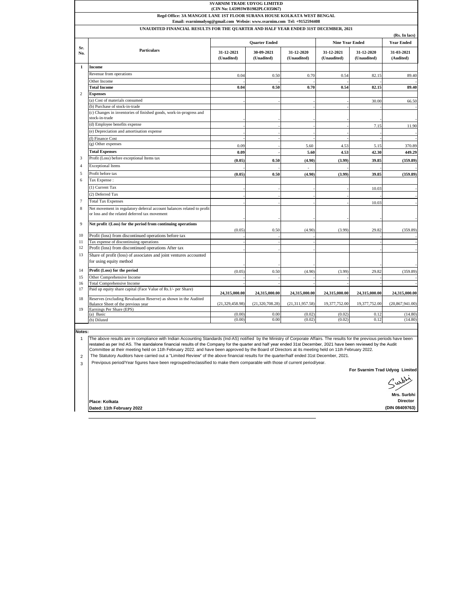| Regd Office: 3A MANGOE LANE 1ST FLOOR SURANA HOUSE KOLKATA WEST BENGAL<br>Email: svarnimudyog@gmail.com Websie: www.svarnim.com Tel: +9152594408<br>UNAUDITED FINANCIAL RESULTS FOR THE QUARTER AND HALF YEAR ENDED 31ST DECEMBER, 2021<br>(Rs. In lacs)<br><b>Quarter Ended</b><br><b>Nine Year Ended</b><br>Sr.<br><b>Particulars</b><br>31-12-2021<br>30-09-2021<br>31-12-2020<br>31-12-2021<br>31-12-2020<br>No.<br>(Unadited)<br>(Unadited)<br>(Unaudited)<br>(Unaudited)<br>(Unaudited)<br>$\mathbf{1}$<br><b>Income</b><br>Revenue from operations<br>0.04<br>0.50<br>0.70<br>0.54<br>82.15<br>Other Income<br><b>Total Income</b><br>0.04<br>0.50<br>0.70<br>0.54<br>82.15<br>$\mathfrak{2}$<br><b>Expenses</b><br>(a) Cost of materials consumed<br>30.00<br>(b) Purchase of stock-in-trade<br>(c) Changes in inventories of finished goods, work-in-progress and<br>stock-in-trade<br>(d) Employee benefits expense<br>7.15<br>(e) Depreciation and amortisation expense<br>(f) Finance Cost<br>(g) Other expenses<br>0.09<br>5.60<br>4.53<br>5.15<br><b>Total Expenses</b><br>0.09<br>5.60<br>4.53<br>42.30<br>Profit (Loss) before exceptional Items tax<br>3<br>(0.05)<br>0.50<br>(4.90)<br>(3.99)<br>39.85<br><b>Exceptional Items</b><br>4<br>Profit before tax<br>5<br>0.50<br>(4.90)<br>39.85<br>(0.05)<br>(3.99)<br>Tax Expense:<br>6<br>(1) Current Tax<br>10.03<br>(2) Deferred Tax<br>7<br><b>Total Tax Expenses</b><br>10.03<br>Net movement in regulatory deferral account balances related to profit<br>8<br>or loss and the related deferred tax movement<br>9<br>Net profit /(Loss) for the period from continuing operations<br>(0.05)<br>0.50<br>(4.90)<br>(3.99)<br>29.82<br>10<br>Profit (loss) from discontinued operations before tax<br>Tax expense of discontinuing operations<br>11<br>12<br>Profit (loss) from discontinued operations After tax<br>Share of profit (loss) of associates and joint ventures accounted<br>13<br>for using equity method<br>Profit (Loss) for the period<br>14<br>0.50<br>(0.05)<br>(4.90)<br>(3.99)<br>29.82<br>Other Comprehensive Income<br>15<br><b>Total Comprehensive Income</b><br>16<br>Paid up equity share capital (Face Value of Rs. 1/- per Share)<br>17<br>24,315,000.00<br>24,315,000.00<br>24,315,000.00<br>24,315,000.00<br>24,315,000.00<br>Reserves (excluding Revaluation Reserve) as shown in the Audited<br>18<br>(21, 329, 458.98)<br>19,377,752.00<br>19,377,752.00<br>(21, 320, 708.28)<br>(21, 311, 957.58)<br>Balance Sheet of the previous year<br>19<br>Earnings Per Share (EPS)<br>(0.00)<br>0.00<br>(0.02)<br>(0.02)<br>0.12<br>(a) Basic<br>(b) Diluted<br>(0.00)<br>0.00<br>(0.02)<br>(0.02)<br>0.12<br>Notes:<br>1<br>restated as per Ind AS. The standalone financial results of the Company for the quarter and half year ended 31st December, 2021 have been reviewed by the Audit<br>Committee at their meeting held on 11th February 2022. and have been approved by the Board of Directors at its meeting held on 11th February 2022.<br>The Statutory Auditors have carried out a "Limited Review" of the above financial results for the quarter/half ended 31st December, 2021.<br>$\overline{\mathbf{c}}$<br>Previpous period/Year figures have been regrouped/reclassified to make them comparable with those of current period/year.<br>3<br>For Svarnim Trad Udyog Limited<br>Place: Kolkata |  | SVARNIM TRADE UDYOG LIMITED<br>(CIN No: L65993WB1982PLC035067)                                                                                                              |  |  |  |  |                   |                            |  |  |
|--------------------------------------------------------------------------------------------------------------------------------------------------------------------------------------------------------------------------------------------------------------------------------------------------------------------------------------------------------------------------------------------------------------------------------------------------------------------------------------------------------------------------------------------------------------------------------------------------------------------------------------------------------------------------------------------------------------------------------------------------------------------------------------------------------------------------------------------------------------------------------------------------------------------------------------------------------------------------------------------------------------------------------------------------------------------------------------------------------------------------------------------------------------------------------------------------------------------------------------------------------------------------------------------------------------------------------------------------------------------------------------------------------------------------------------------------------------------------------------------------------------------------------------------------------------------------------------------------------------------------------------------------------------------------------------------------------------------------------------------------------------------------------------------------------------------------------------------------------------------------------------------------------------------------------------------------------------------------------------------------------------------------------------------------------------------------------------------------------------------------------------------------------------------------------------------------------------------------------------------------------------------------------------------------------------------------------------------------------------------------------------------------------------------------------------------------------------------------------------------------------------------------------------------------------------------------------------------------------------------------------------------------------------------------------------------------------------------------------------------------------------------------------------------------------------------------------------------------------------------------------------------------------------------------------------------------------------------------------------------------------------------------------------------------------------------------------------------------------------------------------------------------------------------------------------------------------------------------------------------------------------------------------------------------------------------------------------------------------------------------------------------------------------|--|-----------------------------------------------------------------------------------------------------------------------------------------------------------------------------|--|--|--|--|-------------------|----------------------------|--|--|
|                                                                                                                                                                                                                                                                                                                                                                                                                                                                                                                                                                                                                                                                                                                                                                                                                                                                                                                                                                                                                                                                                                                                                                                                                                                                                                                                                                                                                                                                                                                                                                                                                                                                                                                                                                                                                                                                                                                                                                                                                                                                                                                                                                                                                                                                                                                                                                                                                                                                                                                                                                                                                                                                                                                                                                                                                                                                                                                                                                                                                                                                                                                                                                                                                                                                                                                                                                                                              |  |                                                                                                                                                                             |  |  |  |  |                   |                            |  |  |
|                                                                                                                                                                                                                                                                                                                                                                                                                                                                                                                                                                                                                                                                                                                                                                                                                                                                                                                                                                                                                                                                                                                                                                                                                                                                                                                                                                                                                                                                                                                                                                                                                                                                                                                                                                                                                                                                                                                                                                                                                                                                                                                                                                                                                                                                                                                                                                                                                                                                                                                                                                                                                                                                                                                                                                                                                                                                                                                                                                                                                                                                                                                                                                                                                                                                                                                                                                                                              |  |                                                                                                                                                                             |  |  |  |  |                   |                            |  |  |
|                                                                                                                                                                                                                                                                                                                                                                                                                                                                                                                                                                                                                                                                                                                                                                                                                                                                                                                                                                                                                                                                                                                                                                                                                                                                                                                                                                                                                                                                                                                                                                                                                                                                                                                                                                                                                                                                                                                                                                                                                                                                                                                                                                                                                                                                                                                                                                                                                                                                                                                                                                                                                                                                                                                                                                                                                                                                                                                                                                                                                                                                                                                                                                                                                                                                                                                                                                                                              |  |                                                                                                                                                                             |  |  |  |  | <b>Year Ended</b> |                            |  |  |
|                                                                                                                                                                                                                                                                                                                                                                                                                                                                                                                                                                                                                                                                                                                                                                                                                                                                                                                                                                                                                                                                                                                                                                                                                                                                                                                                                                                                                                                                                                                                                                                                                                                                                                                                                                                                                                                                                                                                                                                                                                                                                                                                                                                                                                                                                                                                                                                                                                                                                                                                                                                                                                                                                                                                                                                                                                                                                                                                                                                                                                                                                                                                                                                                                                                                                                                                                                                                              |  |                                                                                                                                                                             |  |  |  |  |                   | 31-03-2021<br>(Audited)    |  |  |
|                                                                                                                                                                                                                                                                                                                                                                                                                                                                                                                                                                                                                                                                                                                                                                                                                                                                                                                                                                                                                                                                                                                                                                                                                                                                                                                                                                                                                                                                                                                                                                                                                                                                                                                                                                                                                                                                                                                                                                                                                                                                                                                                                                                                                                                                                                                                                                                                                                                                                                                                                                                                                                                                                                                                                                                                                                                                                                                                                                                                                                                                                                                                                                                                                                                                                                                                                                                                              |  |                                                                                                                                                                             |  |  |  |  |                   |                            |  |  |
|                                                                                                                                                                                                                                                                                                                                                                                                                                                                                                                                                                                                                                                                                                                                                                                                                                                                                                                                                                                                                                                                                                                                                                                                                                                                                                                                                                                                                                                                                                                                                                                                                                                                                                                                                                                                                                                                                                                                                                                                                                                                                                                                                                                                                                                                                                                                                                                                                                                                                                                                                                                                                                                                                                                                                                                                                                                                                                                                                                                                                                                                                                                                                                                                                                                                                                                                                                                                              |  |                                                                                                                                                                             |  |  |  |  |                   | 89.40                      |  |  |
|                                                                                                                                                                                                                                                                                                                                                                                                                                                                                                                                                                                                                                                                                                                                                                                                                                                                                                                                                                                                                                                                                                                                                                                                                                                                                                                                                                                                                                                                                                                                                                                                                                                                                                                                                                                                                                                                                                                                                                                                                                                                                                                                                                                                                                                                                                                                                                                                                                                                                                                                                                                                                                                                                                                                                                                                                                                                                                                                                                                                                                                                                                                                                                                                                                                                                                                                                                                                              |  |                                                                                                                                                                             |  |  |  |  |                   |                            |  |  |
|                                                                                                                                                                                                                                                                                                                                                                                                                                                                                                                                                                                                                                                                                                                                                                                                                                                                                                                                                                                                                                                                                                                                                                                                                                                                                                                                                                                                                                                                                                                                                                                                                                                                                                                                                                                                                                                                                                                                                                                                                                                                                                                                                                                                                                                                                                                                                                                                                                                                                                                                                                                                                                                                                                                                                                                                                                                                                                                                                                                                                                                                                                                                                                                                                                                                                                                                                                                                              |  |                                                                                                                                                                             |  |  |  |  |                   | 89.40                      |  |  |
|                                                                                                                                                                                                                                                                                                                                                                                                                                                                                                                                                                                                                                                                                                                                                                                                                                                                                                                                                                                                                                                                                                                                                                                                                                                                                                                                                                                                                                                                                                                                                                                                                                                                                                                                                                                                                                                                                                                                                                                                                                                                                                                                                                                                                                                                                                                                                                                                                                                                                                                                                                                                                                                                                                                                                                                                                                                                                                                                                                                                                                                                                                                                                                                                                                                                                                                                                                                                              |  |                                                                                                                                                                             |  |  |  |  |                   |                            |  |  |
|                                                                                                                                                                                                                                                                                                                                                                                                                                                                                                                                                                                                                                                                                                                                                                                                                                                                                                                                                                                                                                                                                                                                                                                                                                                                                                                                                                                                                                                                                                                                                                                                                                                                                                                                                                                                                                                                                                                                                                                                                                                                                                                                                                                                                                                                                                                                                                                                                                                                                                                                                                                                                                                                                                                                                                                                                                                                                                                                                                                                                                                                                                                                                                                                                                                                                                                                                                                                              |  |                                                                                                                                                                             |  |  |  |  |                   | 66.50                      |  |  |
|                                                                                                                                                                                                                                                                                                                                                                                                                                                                                                                                                                                                                                                                                                                                                                                                                                                                                                                                                                                                                                                                                                                                                                                                                                                                                                                                                                                                                                                                                                                                                                                                                                                                                                                                                                                                                                                                                                                                                                                                                                                                                                                                                                                                                                                                                                                                                                                                                                                                                                                                                                                                                                                                                                                                                                                                                                                                                                                                                                                                                                                                                                                                                                                                                                                                                                                                                                                                              |  |                                                                                                                                                                             |  |  |  |  |                   |                            |  |  |
|                                                                                                                                                                                                                                                                                                                                                                                                                                                                                                                                                                                                                                                                                                                                                                                                                                                                                                                                                                                                                                                                                                                                                                                                                                                                                                                                                                                                                                                                                                                                                                                                                                                                                                                                                                                                                                                                                                                                                                                                                                                                                                                                                                                                                                                                                                                                                                                                                                                                                                                                                                                                                                                                                                                                                                                                                                                                                                                                                                                                                                                                                                                                                                                                                                                                                                                                                                                                              |  |                                                                                                                                                                             |  |  |  |  |                   | 11.90                      |  |  |
|                                                                                                                                                                                                                                                                                                                                                                                                                                                                                                                                                                                                                                                                                                                                                                                                                                                                                                                                                                                                                                                                                                                                                                                                                                                                                                                                                                                                                                                                                                                                                                                                                                                                                                                                                                                                                                                                                                                                                                                                                                                                                                                                                                                                                                                                                                                                                                                                                                                                                                                                                                                                                                                                                                                                                                                                                                                                                                                                                                                                                                                                                                                                                                                                                                                                                                                                                                                                              |  |                                                                                                                                                                             |  |  |  |  |                   |                            |  |  |
|                                                                                                                                                                                                                                                                                                                                                                                                                                                                                                                                                                                                                                                                                                                                                                                                                                                                                                                                                                                                                                                                                                                                                                                                                                                                                                                                                                                                                                                                                                                                                                                                                                                                                                                                                                                                                                                                                                                                                                                                                                                                                                                                                                                                                                                                                                                                                                                                                                                                                                                                                                                                                                                                                                                                                                                                                                                                                                                                                                                                                                                                                                                                                                                                                                                                                                                                                                                                              |  |                                                                                                                                                                             |  |  |  |  |                   |                            |  |  |
|                                                                                                                                                                                                                                                                                                                                                                                                                                                                                                                                                                                                                                                                                                                                                                                                                                                                                                                                                                                                                                                                                                                                                                                                                                                                                                                                                                                                                                                                                                                                                                                                                                                                                                                                                                                                                                                                                                                                                                                                                                                                                                                                                                                                                                                                                                                                                                                                                                                                                                                                                                                                                                                                                                                                                                                                                                                                                                                                                                                                                                                                                                                                                                                                                                                                                                                                                                                                              |  |                                                                                                                                                                             |  |  |  |  |                   | 370.89                     |  |  |
|                                                                                                                                                                                                                                                                                                                                                                                                                                                                                                                                                                                                                                                                                                                                                                                                                                                                                                                                                                                                                                                                                                                                                                                                                                                                                                                                                                                                                                                                                                                                                                                                                                                                                                                                                                                                                                                                                                                                                                                                                                                                                                                                                                                                                                                                                                                                                                                                                                                                                                                                                                                                                                                                                                                                                                                                                                                                                                                                                                                                                                                                                                                                                                                                                                                                                                                                                                                                              |  |                                                                                                                                                                             |  |  |  |  |                   | 449.29                     |  |  |
|                                                                                                                                                                                                                                                                                                                                                                                                                                                                                                                                                                                                                                                                                                                                                                                                                                                                                                                                                                                                                                                                                                                                                                                                                                                                                                                                                                                                                                                                                                                                                                                                                                                                                                                                                                                                                                                                                                                                                                                                                                                                                                                                                                                                                                                                                                                                                                                                                                                                                                                                                                                                                                                                                                                                                                                                                                                                                                                                                                                                                                                                                                                                                                                                                                                                                                                                                                                                              |  |                                                                                                                                                                             |  |  |  |  |                   | (359.89)                   |  |  |
|                                                                                                                                                                                                                                                                                                                                                                                                                                                                                                                                                                                                                                                                                                                                                                                                                                                                                                                                                                                                                                                                                                                                                                                                                                                                                                                                                                                                                                                                                                                                                                                                                                                                                                                                                                                                                                                                                                                                                                                                                                                                                                                                                                                                                                                                                                                                                                                                                                                                                                                                                                                                                                                                                                                                                                                                                                                                                                                                                                                                                                                                                                                                                                                                                                                                                                                                                                                                              |  |                                                                                                                                                                             |  |  |  |  |                   |                            |  |  |
|                                                                                                                                                                                                                                                                                                                                                                                                                                                                                                                                                                                                                                                                                                                                                                                                                                                                                                                                                                                                                                                                                                                                                                                                                                                                                                                                                                                                                                                                                                                                                                                                                                                                                                                                                                                                                                                                                                                                                                                                                                                                                                                                                                                                                                                                                                                                                                                                                                                                                                                                                                                                                                                                                                                                                                                                                                                                                                                                                                                                                                                                                                                                                                                                                                                                                                                                                                                                              |  |                                                                                                                                                                             |  |  |  |  |                   | (359.89)                   |  |  |
|                                                                                                                                                                                                                                                                                                                                                                                                                                                                                                                                                                                                                                                                                                                                                                                                                                                                                                                                                                                                                                                                                                                                                                                                                                                                                                                                                                                                                                                                                                                                                                                                                                                                                                                                                                                                                                                                                                                                                                                                                                                                                                                                                                                                                                                                                                                                                                                                                                                                                                                                                                                                                                                                                                                                                                                                                                                                                                                                                                                                                                                                                                                                                                                                                                                                                                                                                                                                              |  |                                                                                                                                                                             |  |  |  |  |                   |                            |  |  |
|                                                                                                                                                                                                                                                                                                                                                                                                                                                                                                                                                                                                                                                                                                                                                                                                                                                                                                                                                                                                                                                                                                                                                                                                                                                                                                                                                                                                                                                                                                                                                                                                                                                                                                                                                                                                                                                                                                                                                                                                                                                                                                                                                                                                                                                                                                                                                                                                                                                                                                                                                                                                                                                                                                                                                                                                                                                                                                                                                                                                                                                                                                                                                                                                                                                                                                                                                                                                              |  |                                                                                                                                                                             |  |  |  |  |                   |                            |  |  |
|                                                                                                                                                                                                                                                                                                                                                                                                                                                                                                                                                                                                                                                                                                                                                                                                                                                                                                                                                                                                                                                                                                                                                                                                                                                                                                                                                                                                                                                                                                                                                                                                                                                                                                                                                                                                                                                                                                                                                                                                                                                                                                                                                                                                                                                                                                                                                                                                                                                                                                                                                                                                                                                                                                                                                                                                                                                                                                                                                                                                                                                                                                                                                                                                                                                                                                                                                                                                              |  |                                                                                                                                                                             |  |  |  |  |                   |                            |  |  |
|                                                                                                                                                                                                                                                                                                                                                                                                                                                                                                                                                                                                                                                                                                                                                                                                                                                                                                                                                                                                                                                                                                                                                                                                                                                                                                                                                                                                                                                                                                                                                                                                                                                                                                                                                                                                                                                                                                                                                                                                                                                                                                                                                                                                                                                                                                                                                                                                                                                                                                                                                                                                                                                                                                                                                                                                                                                                                                                                                                                                                                                                                                                                                                                                                                                                                                                                                                                                              |  |                                                                                                                                                                             |  |  |  |  |                   |                            |  |  |
|                                                                                                                                                                                                                                                                                                                                                                                                                                                                                                                                                                                                                                                                                                                                                                                                                                                                                                                                                                                                                                                                                                                                                                                                                                                                                                                                                                                                                                                                                                                                                                                                                                                                                                                                                                                                                                                                                                                                                                                                                                                                                                                                                                                                                                                                                                                                                                                                                                                                                                                                                                                                                                                                                                                                                                                                                                                                                                                                                                                                                                                                                                                                                                                                                                                                                                                                                                                                              |  |                                                                                                                                                                             |  |  |  |  |                   |                            |  |  |
|                                                                                                                                                                                                                                                                                                                                                                                                                                                                                                                                                                                                                                                                                                                                                                                                                                                                                                                                                                                                                                                                                                                                                                                                                                                                                                                                                                                                                                                                                                                                                                                                                                                                                                                                                                                                                                                                                                                                                                                                                                                                                                                                                                                                                                                                                                                                                                                                                                                                                                                                                                                                                                                                                                                                                                                                                                                                                                                                                                                                                                                                                                                                                                                                                                                                                                                                                                                                              |  |                                                                                                                                                                             |  |  |  |  |                   | (359.89)                   |  |  |
|                                                                                                                                                                                                                                                                                                                                                                                                                                                                                                                                                                                                                                                                                                                                                                                                                                                                                                                                                                                                                                                                                                                                                                                                                                                                                                                                                                                                                                                                                                                                                                                                                                                                                                                                                                                                                                                                                                                                                                                                                                                                                                                                                                                                                                                                                                                                                                                                                                                                                                                                                                                                                                                                                                                                                                                                                                                                                                                                                                                                                                                                                                                                                                                                                                                                                                                                                                                                              |  |                                                                                                                                                                             |  |  |  |  |                   |                            |  |  |
|                                                                                                                                                                                                                                                                                                                                                                                                                                                                                                                                                                                                                                                                                                                                                                                                                                                                                                                                                                                                                                                                                                                                                                                                                                                                                                                                                                                                                                                                                                                                                                                                                                                                                                                                                                                                                                                                                                                                                                                                                                                                                                                                                                                                                                                                                                                                                                                                                                                                                                                                                                                                                                                                                                                                                                                                                                                                                                                                                                                                                                                                                                                                                                                                                                                                                                                                                                                                              |  |                                                                                                                                                                             |  |  |  |  |                   |                            |  |  |
|                                                                                                                                                                                                                                                                                                                                                                                                                                                                                                                                                                                                                                                                                                                                                                                                                                                                                                                                                                                                                                                                                                                                                                                                                                                                                                                                                                                                                                                                                                                                                                                                                                                                                                                                                                                                                                                                                                                                                                                                                                                                                                                                                                                                                                                                                                                                                                                                                                                                                                                                                                                                                                                                                                                                                                                                                                                                                                                                                                                                                                                                                                                                                                                                                                                                                                                                                                                                              |  |                                                                                                                                                                             |  |  |  |  |                   |                            |  |  |
|                                                                                                                                                                                                                                                                                                                                                                                                                                                                                                                                                                                                                                                                                                                                                                                                                                                                                                                                                                                                                                                                                                                                                                                                                                                                                                                                                                                                                                                                                                                                                                                                                                                                                                                                                                                                                                                                                                                                                                                                                                                                                                                                                                                                                                                                                                                                                                                                                                                                                                                                                                                                                                                                                                                                                                                                                                                                                                                                                                                                                                                                                                                                                                                                                                                                                                                                                                                                              |  |                                                                                                                                                                             |  |  |  |  |                   |                            |  |  |
|                                                                                                                                                                                                                                                                                                                                                                                                                                                                                                                                                                                                                                                                                                                                                                                                                                                                                                                                                                                                                                                                                                                                                                                                                                                                                                                                                                                                                                                                                                                                                                                                                                                                                                                                                                                                                                                                                                                                                                                                                                                                                                                                                                                                                                                                                                                                                                                                                                                                                                                                                                                                                                                                                                                                                                                                                                                                                                                                                                                                                                                                                                                                                                                                                                                                                                                                                                                                              |  |                                                                                                                                                                             |  |  |  |  |                   | (359.89)                   |  |  |
|                                                                                                                                                                                                                                                                                                                                                                                                                                                                                                                                                                                                                                                                                                                                                                                                                                                                                                                                                                                                                                                                                                                                                                                                                                                                                                                                                                                                                                                                                                                                                                                                                                                                                                                                                                                                                                                                                                                                                                                                                                                                                                                                                                                                                                                                                                                                                                                                                                                                                                                                                                                                                                                                                                                                                                                                                                                                                                                                                                                                                                                                                                                                                                                                                                                                                                                                                                                                              |  |                                                                                                                                                                             |  |  |  |  |                   |                            |  |  |
|                                                                                                                                                                                                                                                                                                                                                                                                                                                                                                                                                                                                                                                                                                                                                                                                                                                                                                                                                                                                                                                                                                                                                                                                                                                                                                                                                                                                                                                                                                                                                                                                                                                                                                                                                                                                                                                                                                                                                                                                                                                                                                                                                                                                                                                                                                                                                                                                                                                                                                                                                                                                                                                                                                                                                                                                                                                                                                                                                                                                                                                                                                                                                                                                                                                                                                                                                                                                              |  |                                                                                                                                                                             |  |  |  |  |                   | 24,315,000.00              |  |  |
|                                                                                                                                                                                                                                                                                                                                                                                                                                                                                                                                                                                                                                                                                                                                                                                                                                                                                                                                                                                                                                                                                                                                                                                                                                                                                                                                                                                                                                                                                                                                                                                                                                                                                                                                                                                                                                                                                                                                                                                                                                                                                                                                                                                                                                                                                                                                                                                                                                                                                                                                                                                                                                                                                                                                                                                                                                                                                                                                                                                                                                                                                                                                                                                                                                                                                                                                                                                                              |  |                                                                                                                                                                             |  |  |  |  |                   | (20, 867, 941.00)          |  |  |
|                                                                                                                                                                                                                                                                                                                                                                                                                                                                                                                                                                                                                                                                                                                                                                                                                                                                                                                                                                                                                                                                                                                                                                                                                                                                                                                                                                                                                                                                                                                                                                                                                                                                                                                                                                                                                                                                                                                                                                                                                                                                                                                                                                                                                                                                                                                                                                                                                                                                                                                                                                                                                                                                                                                                                                                                                                                                                                                                                                                                                                                                                                                                                                                                                                                                                                                                                                                                              |  |                                                                                                                                                                             |  |  |  |  |                   | (14.80)                    |  |  |
|                                                                                                                                                                                                                                                                                                                                                                                                                                                                                                                                                                                                                                                                                                                                                                                                                                                                                                                                                                                                                                                                                                                                                                                                                                                                                                                                                                                                                                                                                                                                                                                                                                                                                                                                                                                                                                                                                                                                                                                                                                                                                                                                                                                                                                                                                                                                                                                                                                                                                                                                                                                                                                                                                                                                                                                                                                                                                                                                                                                                                                                                                                                                                                                                                                                                                                                                                                                                              |  |                                                                                                                                                                             |  |  |  |  |                   | (14.80)                    |  |  |
|                                                                                                                                                                                                                                                                                                                                                                                                                                                                                                                                                                                                                                                                                                                                                                                                                                                                                                                                                                                                                                                                                                                                                                                                                                                                                                                                                                                                                                                                                                                                                                                                                                                                                                                                                                                                                                                                                                                                                                                                                                                                                                                                                                                                                                                                                                                                                                                                                                                                                                                                                                                                                                                                                                                                                                                                                                                                                                                                                                                                                                                                                                                                                                                                                                                                                                                                                                                                              |  |                                                                                                                                                                             |  |  |  |  |                   |                            |  |  |
|                                                                                                                                                                                                                                                                                                                                                                                                                                                                                                                                                                                                                                                                                                                                                                                                                                                                                                                                                                                                                                                                                                                                                                                                                                                                                                                                                                                                                                                                                                                                                                                                                                                                                                                                                                                                                                                                                                                                                                                                                                                                                                                                                                                                                                                                                                                                                                                                                                                                                                                                                                                                                                                                                                                                                                                                                                                                                                                                                                                                                                                                                                                                                                                                                                                                                                                                                                                                              |  | The above results are in compliance with Indian Accounting Standards (Ind-AS) notified by the Ministry of Corporate Affairs. The results for the previous periods have been |  |  |  |  |                   |                            |  |  |
|                                                                                                                                                                                                                                                                                                                                                                                                                                                                                                                                                                                                                                                                                                                                                                                                                                                                                                                                                                                                                                                                                                                                                                                                                                                                                                                                                                                                                                                                                                                                                                                                                                                                                                                                                                                                                                                                                                                                                                                                                                                                                                                                                                                                                                                                                                                                                                                                                                                                                                                                                                                                                                                                                                                                                                                                                                                                                                                                                                                                                                                                                                                                                                                                                                                                                                                                                                                                              |  |                                                                                                                                                                             |  |  |  |  |                   |                            |  |  |
|                                                                                                                                                                                                                                                                                                                                                                                                                                                                                                                                                                                                                                                                                                                                                                                                                                                                                                                                                                                                                                                                                                                                                                                                                                                                                                                                                                                                                                                                                                                                                                                                                                                                                                                                                                                                                                                                                                                                                                                                                                                                                                                                                                                                                                                                                                                                                                                                                                                                                                                                                                                                                                                                                                                                                                                                                                                                                                                                                                                                                                                                                                                                                                                                                                                                                                                                                                                                              |  |                                                                                                                                                                             |  |  |  |  |                   |                            |  |  |
|                                                                                                                                                                                                                                                                                                                                                                                                                                                                                                                                                                                                                                                                                                                                                                                                                                                                                                                                                                                                                                                                                                                                                                                                                                                                                                                                                                                                                                                                                                                                                                                                                                                                                                                                                                                                                                                                                                                                                                                                                                                                                                                                                                                                                                                                                                                                                                                                                                                                                                                                                                                                                                                                                                                                                                                                                                                                                                                                                                                                                                                                                                                                                                                                                                                                                                                                                                                                              |  |                                                                                                                                                                             |  |  |  |  |                   |                            |  |  |
|                                                                                                                                                                                                                                                                                                                                                                                                                                                                                                                                                                                                                                                                                                                                                                                                                                                                                                                                                                                                                                                                                                                                                                                                                                                                                                                                                                                                                                                                                                                                                                                                                                                                                                                                                                                                                                                                                                                                                                                                                                                                                                                                                                                                                                                                                                                                                                                                                                                                                                                                                                                                                                                                                                                                                                                                                                                                                                                                                                                                                                                                                                                                                                                                                                                                                                                                                                                                              |  |                                                                                                                                                                             |  |  |  |  |                   | Mrs. Surbhi                |  |  |
|                                                                                                                                                                                                                                                                                                                                                                                                                                                                                                                                                                                                                                                                                                                                                                                                                                                                                                                                                                                                                                                                                                                                                                                                                                                                                                                                                                                                                                                                                                                                                                                                                                                                                                                                                                                                                                                                                                                                                                                                                                                                                                                                                                                                                                                                                                                                                                                                                                                                                                                                                                                                                                                                                                                                                                                                                                                                                                                                                                                                                                                                                                                                                                                                                                                                                                                                                                                                              |  | Dated: 11th February 2022                                                                                                                                                   |  |  |  |  |                   | Director<br>(DIN 08409763) |  |  |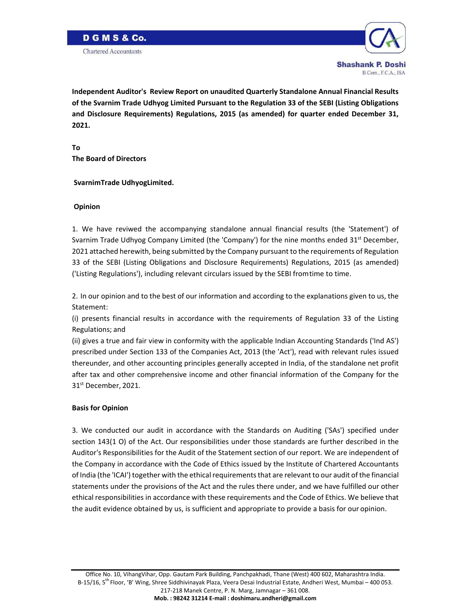

B.Com., F.C.A., ISA

**Independent Auditor's Review Report on unaudited Quarterly Standalone Annual Financial Results of the Svarnim Trade Udhyog Limited Pursuant to the Regulation 33 of the SEBI (Listing Obligations and Disclosure Requirements) Regulations, 2015 (as amended) for quarter ended December 31, 2021.**

**To The Board of Directors** 

### **SvarnimTrade UdhyogLimited.**

### **Opinion**

1. We have reviwed the accompanying standalone annual financial results (the 'Statement') of Svarnim Trade Udhyog Company Limited (the 'Company') for the nine months ended  $31^{st}$  December, 2021 attached herewith, being submitted by the Company pursuant to the requirements of Regulation 33 of the SEBI (Listing Obligations and Disclosure Requirements) Regulations, 2015 (as amended) ('Listing Regulations'), including relevant circulars issued by the SEBI fromtime to time.

2. In our opinion and to the best of our information and according to the explanations given to us, the Statement:

(i) presents financial results in accordance with the requirements of Regulation 33 of the Listing Regulations; and

(ii) gives a true and fair view in conformity with the applicable Indian Accounting Standards ('Ind AS') prescribed under Section 133 of the Companies Act, 2013 (the 'Act'), read with relevant rules issued thereunder, and other accounting principles generally accepted in India, of the standalone net profit after tax and other comprehensive income and other financial information of the Company for the 31<sup>st</sup> December, 2021.

### **Basis for Opinion**

3. We conducted our audit in accordance with the Standards on Auditing ('SAs') specified under section 143(1 O) of the Act. Our responsibilities under those standards are further described in the Auditor's Responsibilities for the Audit of the Statement section of our report. We are independent of the Company in accordance with the Code of Ethics issued by the Institute of Chartered Accountants of India (the 'ICAI') together with the ethical requirements that are relevant to our audit of the financial statements under the provisions of the Act and the rules there under, and we have fulfilled our other ethical responsibilities in accordance with these requirements and the Code of Ethics. We believe that the audit evidence obtained by us, is sufficient and appropriate to provide a basis for our opinion.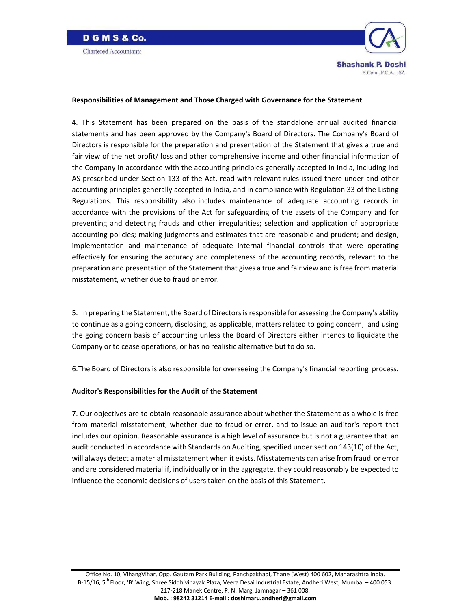



#### **Responsibilities of Management and Those Charged with Governance for the Statement**

4. This Statement has been prepared on the basis of the standalone annual audited financial statements and has been approved by the Company's Board of Directors. The Company's Board of Directors is responsible for the preparation and presentation of the Statement that gives a true and fair view of the net profit/ loss and other comprehensive income and other financial information of the Company in accordance with the accounting principles generally accepted in India, including Ind AS prescribed under Section 133 of the Act, read with relevant rules issued there under and other accounting principles generally accepted in India, and in compliance with Regulation 33 of the Listing Regulations. This responsibility also includes maintenance of adequate accounting records in accordance with the provisions of the Act for safeguarding of the assets of the Company and for preventing and detecting frauds and other irregularities; selection and application of appropriate accounting policies; making judgments and estimates that are reasonable and prudent; and design, implementation and maintenance of adequate internal financial controls that were operating effectively for ensuring the accuracy and completeness of the accounting records, relevant to the preparation and presentation of the Statement that gives a true and fair view and isfree from material misstatement, whether due to fraud or error.

5. In preparing the Statement, the Board of Directors is responsible for assessing the Company's ability to continue as a going concern, disclosing, as applicable, matters related to going concern, and using the going concern basis of accounting unless the Board of Directors either intends to liquidate the Company or to cease operations, or has no realistic alternative but to do so.

6.The Board of Directors is also responsible for overseeing the Company's financial reporting process.

### **Auditor's Responsibilities for the Audit of the Statement**

7. Our objectives are to obtain reasonable assurance about whether the Statement as a whole is free from material misstatement, whether due to fraud or error, and to issue an auditor's report that includes our opinion. Reasonable assurance is a high level of assurance but is not a guarantee that an audit conducted in accordance with Standards on Auditing, specified under section 143(10) of the Act, will always detect a material misstatement when it exists. Misstatements can arise from fraud or error and are considered material if, individually or in the aggregate, they could reasonably be expected to influence the economic decisions of users taken on the basis of this Statement.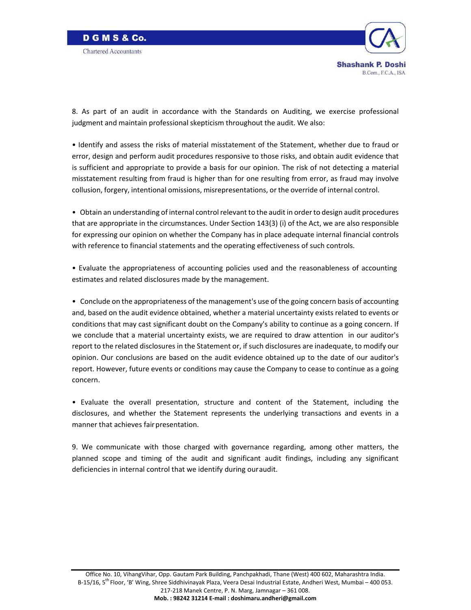



8. As part of an audit in accordance with the Standards on Auditing, we exercise professional judgment and maintain professional skepticism throughout the audit. We also:

• Identify and assess the risks of material misstatement of the Statement, whether due to fraud or error, design and perform audit procedures responsive to those risks, and obtain audit evidence that is sufficient and appropriate to provide a basis for our opinion. The risk of not detecting a material misstatement resulting from fraud is higher than for one resulting from error, as fraud may involve collusion, forgery, intentional omissions, misrepresentations, or the override of internal control.

• Obtain an understanding of internal control relevant to the audit in order to design audit procedures that are appropriate in the circumstances. Under Section 143(3) (i) of the Act, we are also responsible for expressing our opinion on whether the Company has in place adequate internal financial controls with reference to financial statements and the operating effectiveness of such controls.

• Evaluate the appropriateness of accounting policies used and the reasonableness of accounting estimates and related disclosures made by the management.

• Conclude on the appropriateness of the management's use of the going concern basis of accounting and, based on the audit evidence obtained, whether a material uncertainty exists related to events or conditions that may cast significant doubt on the Company's ability to continue as a going concern. If we conclude that a material uncertainty exists, we are required to draw attention in our auditor's report to the related disclosures in the Statement or, if such disclosures are inadequate, to modify our opinion. Our conclusions are based on the audit evidence obtained up to the date of our auditor's report. However, future events or conditions may cause the Company to cease to continue as a going concern.

• Evaluate the overall presentation, structure and content of the Statement, including the disclosures, and whether the Statement represents the underlying transactions and events in a manner that achieves fair presentation.

9. We communicate with those charged with governance regarding, among other matters, the planned scope and timing of the audit and significant audit findings, including any significant deficiencies in internal control that we identify during ouraudit.

Office No. 10, VihangVihar, Opp. Gautam Park Building, Panchpakhadi, Thane (West) 400 602, Maharashtra India. B-15/16, 5<sup>th</sup> Floor, 'B' Wing, Shree Siddhivinayak Plaza, Veera Desai Industrial Estate, Andheri West, Mumbai – 400 053. 217‐218 Manek Centre, P. N. Marg, Jamnagar – 361 008.

**Mob. : 98242 31214 E‐mail : doshimaru.andheri@gmail.com**